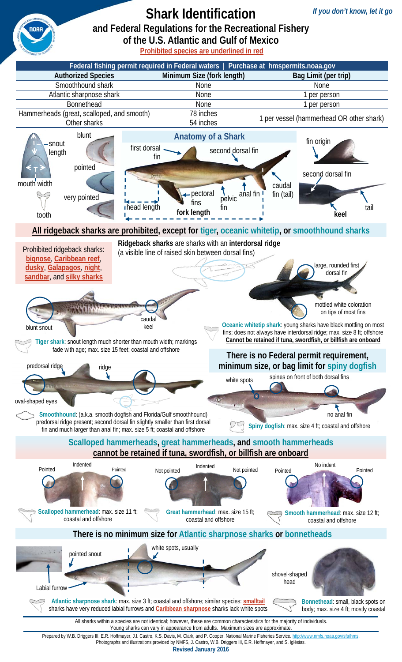

Prepared by W.B. Driggers III, E.R. Hoffmayer, J.I. Castro, K.S. Davis, M. Clark, and P. Cooper. National Marine Fisheries Service. http://www.nmfs.noaa.gov/sfa/hms. Photographs and illustrations provided by NMFS, J. Castro, W.B. Driggers III, E.R. Hoffmayer, and S. Iglésias.

**Revised January 2016**